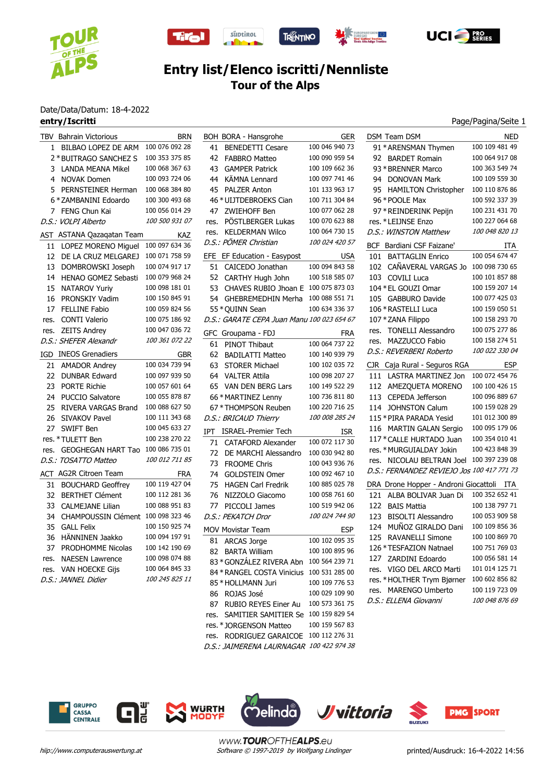





 $\frac{\mathbb{C}}{\mathsf{tino}}$ 



## **Entry list/Elenco iscritti/Nennliste Tour of the Alps**

# Date/Data/Datum: 18-4-2022<br>entry/Iscritti

### Page/Pagina/Seite 1

|      | TBV Bahrain Victorious     | <b>BRN</b>     |  |  |
|------|----------------------------|----------------|--|--|
| 1    | <b>BILBAO LOPEZ DE ARM</b> | 100 076 092 28 |  |  |
|      | 2 * BUITRAGO SANCHEZ S     | 100 353 375 85 |  |  |
| 3    | <b>LANDA MEANA Mikel</b>   | 100 068 367 63 |  |  |
| 4    | <b>NOVAK Domen</b>         | 100 093 724 06 |  |  |
| 5    | PERNSTEINER Herman         | 100 068 384 80 |  |  |
|      | 6 * ZAMBANINI Edoardo      | 100 300 493 68 |  |  |
| 7    | FENG Chun Kai              | 100 056 014 29 |  |  |
|      | D.S.: VOLPI Alberto        | 100 500 931 07 |  |  |
|      | AST ASTANA Qazaqatan Team  | KAZ            |  |  |
| 11   | LOPEZ MORENO Miguel        | 100 097 634 36 |  |  |
| 12   | DE LA CRUZ MELGAREJ        | 100 071 758 59 |  |  |
| 13   | DOMBROWSKI Joseph          | 100 074 917 17 |  |  |
| 14   | HENAO GOMEZ Sebasti        | 100 079 968 24 |  |  |
| 15   | <b>NATAROV Yuriv</b>       | 100 098 181 01 |  |  |
| 16   | PRONSKIY Vadim             | 100 150 845 91 |  |  |
| 17   | <b>FELLINE Fabio</b>       | 100 059 824 56 |  |  |
| res. | <b>CONTI Valerio</b>       | 100 075 186 92 |  |  |
| res. | <b>ZEITS Andrey</b>        | 100 047 036 72 |  |  |
|      | D.S.: SHEFER Alexandr      | 100 361 072 22 |  |  |
| IGD  | <b>INEOS Grenadiers</b>    | <b>GBR</b>     |  |  |
| 21   | <b>AMADOR Andrey</b>       | 100 034 739 94 |  |  |
| 22   | <b>DUNBAR Edward</b>       | 100 097 939 50 |  |  |
|      | 23 PORTE Richie            | 100 057 601 64 |  |  |
|      | 24 PUCCIO Salvatore        | 100 055 878 87 |  |  |
| 25   | RIVERA VARGAS Brand        | 100 088 627 50 |  |  |
| 26   | <b>SIVAKOV Pavel</b>       | 100 111 343 68 |  |  |
| 27   | <b>SWIFT Ben</b>           | 100 045 633 27 |  |  |
|      | res. * TULETT Ben          | 100 238 270 22 |  |  |
| res. | <b>GEOGHEGAN HART Tao</b>  | 100 086 735 01 |  |  |
|      | D.S.: TOSATTO Matteo       | 100 012 711 85 |  |  |
| ACT  | <b>AG2R Citroen Team</b>   | FRA            |  |  |
| 31   | <b>BOUCHARD Geoffrey</b>   | 100 119 427 04 |  |  |
| 32   | <b>BERTHET Clément</b>     | 100 112 281 36 |  |  |
| 33   | <b>CALMEJANE Lilian</b>    | 100 088 951 83 |  |  |
| 34   | <b>CHAMPOUSSIN Clément</b> | 100 098 323 46 |  |  |
| 35   | <b>GALL Felix</b>          | 100 150 925 74 |  |  |
| 36   | HÄNNINEN Jaakko            | 100 094 197 91 |  |  |
| 37   | PRODHOMME Nicolas          | 100 142 190 69 |  |  |
| res. | <b>NAESEN Lawrence</b>     | 100 098 074 88 |  |  |
| res. | <b>VAN HOECKE Giis</b>     | 100 064 845 33 |  |  |
|      | D.S.: JANNEL Didier        | 100 245 825 11 |  |  |
|      |                            |                |  |  |

|      | BOH BORA - Hansgrohe                       | GER            |
|------|--------------------------------------------|----------------|
| 41   | <b>BENEDETTI Cesare</b>                    | 100 046 940 73 |
|      | 42 FABBRO Matteo                           | 100 090 959 54 |
|      | 43 GAMPER Patrick                          | 100 109 662 36 |
|      | 44 KÄMNA Lennard                           | 100 097 741 46 |
| 45   | <b>PALZER Anton</b>                        | 101 133 963 17 |
|      | 46 * UIJTDEBROEKS Cian                     | 100 711 304 84 |
| 47   | ZWIEHOFF Ben                               | 100 077 062 28 |
|      | res. PÖSTLBERGER Lukas                     | 100 070 623 88 |
| res. | <b>KELDERMAN Wilco</b>                     | 100 064 730 15 |
|      | D.S.: PÖMER Christian                      | 100 024 420 57 |
| EFE  | EF Education - Easypost                    | USA            |
|      | 51 CAICEDO Jonathan                        | 100 094 843 58 |
|      | 52 CARTHY Hugh John                        | 100 518 585 07 |
| 53   | CHAVES RUBIO Jhoan E                       | 100 075 873 03 |
| 54   | GHEBREMEDHIN Merha                         | 100 088 551 71 |
|      | 55 * QUINN Sean                            | 100 634 336 37 |
|      | D.S.: GARATE CEPA Juan Manu 100 023 654 67 |                |
|      | GFC Groupama - FDJ                         | FRA            |
| 61   | PINOT Thibaut                              | 100 064 737 22 |
|      |                                            | 100 140 939 79 |
|      | 62 BADILATTI Matteo                        | 100 102 035 72 |
|      | 63 STORER Michael                          |                |
|      | 64 VALTER Attila                           | 100 098 207 27 |
|      | 65 VAN DEN BERG Lars                       | 100 149 522 29 |
|      | 66 * MARTINEZ Lenny                        | 100 736 811 80 |
|      | 67 * THOMPSON Reuben                       | 100 220 716 25 |
|      | D.S.: BRICAUD Thierry                      | 100 008 285 24 |
| IPT  | <b>ISRAEL-Premier Tech</b>                 | ISR.           |
| 71   | <b>CATAFORD Alexander</b>                  | 100 072 117 30 |
|      | 72 DE MARCHI Alessandro                    | 100 030 942 80 |
| 73   | <b>FROOME Chris</b>                        | 100 043 936 76 |
| 74   | <b>GOLDSTEIN Omer</b>                      | 100 092 467 10 |
| 75   | <b>HAGEN Carl Fredrik</b>                  | 100 885 025 78 |
| 76   | NIZZOLO Giacomo                            | 100 058 761 60 |
| 77   | PICCOLI James                              | 100 519 942 06 |
|      | D.S.: PEKATCH Dror                         | 100 024 744 90 |
|      | <b>MOV Movistar Team</b>                   | <b>ESP</b>     |
| 81   | <b>ARCAS Jorge</b>                         | 100 102 095 35 |
| 82   | <b>BARTA William</b>                       | 100 100 895 96 |
|      | 83 * GONZÁLEZ RIVERA Abn                   | 100 564 239 71 |
|      | 84 * RANGEL COSTA Vinicius                 | 100 531 285 00 |
|      | 85 * HOLLMANN Juri                         | 100 109 776 53 |
|      | 86 ROJAS José                              | 100 029 109 90 |
| 87   | RUBIO REYES Einer Au                       | 100 573 361 75 |
| res. | SAMITIER SAMITIER Se                       | 100 159 829 54 |
|      | res. *JORGENSON Matteo                     | 100 159 567 83 |
|      | res. RODRIGUEZ GARAICOE                    | 100 112 276 31 |
|      | D.S.: JAIMERENA LAURNAGAR                  | 100 422 974 38 |

| DSM Team DSM                               | NED            |
|--------------------------------------------|----------------|
| 91 * ARENSMAN Thymen                       | 100 109 481 49 |
| 92 BARDET Romain                           | 100 064 917 08 |
| 93 * BRENNER Marco                         | 100 363 549 74 |
| 94 DONOVAN Mark                            | 100 109 559 30 |
| 95 HAMILTON Christopher                    | 100 110 876 86 |
| 96 * POOLE Max                             | 100 592 337 39 |
| 97 * REINDERINK Pepijn                     | 100 231 431 70 |
| res. * LEIJNSE Enzo                        | 100 227 064 68 |
| D.S.: WINSTON Matthew                      | 100 048 820 13 |
| BCF Bardiani CSF Faizane'                  | ITA            |
| <b>BATTAGLIN Enrico</b><br>101             | 100 054 674 47 |
| 102 CAÑAVERAL VARGAS Jo                    | 100 098 730 65 |
| 103 COVILI Luca                            | 100 101 857 88 |
| 104 * EL GOUZI Omar                        | 100 159 207 14 |
| 105 GABBURO Davide                         | 100 077 425 03 |
| 106 * RASTELLI Luca                        | 100 159 050 51 |
| 107 * ZANA Filippo                         | 100 158 293 70 |
| res. TONELLI Alessandro                    | 100 075 277 86 |
| res. MAZZUCCO Fabio                        | 100 158 274 51 |
| D.S.: REVERBERI Roberto                    | 100 022 330 04 |
| CJR Caja Rural - Seguros RGA               | <b>ESP</b>     |
| 111 LASTRA MARTINEZ Jon                    | 100 072 454 76 |
| 112 AMEZQUETA MORENO                       | 100 100 426 15 |
| 113 CEPEDA Jefferson                       | 100 096 889 67 |
| 114 JOHNSTON Calum                         | 100 159 028 29 |
| 115 * PIRA PARADA Yesid                    | 101 012 300 89 |
| 116 MARTIN GALAN Sergio                    | 100 095 179 06 |
| 117 * CALLE HURTADO Juan                   | 100 354 010 41 |
| res. * MURGUIALDAY Jokin                   | 100 423 848 39 |
| res. NICOLAU BELTRAN Joel                  | 100 397 239 08 |
| D.S.: FERNANDEZ REVIEJO Jos 100 417 771 73 |                |
| DRA Drone Hopper - Androni Giocattoli ITA  |                |
| ALBA BOLIVAR Juan Di<br>121                | 100 352 652 41 |
| 122 BAIS Mattia                            | 100 138 797 71 |
| <b>BISOLTI Alessandro</b><br>123           | 100 053 909 58 |
| 124 MUÑOZ GIRALDO Dani                     | 100 109 856 36 |
| 125 RAVANELLI Simone                       | 100 100 869 70 |
| 126 * TESFAZION Natnael                    | 100 751 769 03 |
| 127 ZARDINI Edoardo                        | 100 056 581 14 |
| res. VIGO DEL ARCO Marti                   | 101 014 125 71 |
| res. * HOLTHER Trym Bjørner                | 100 602 856 82 |
| res. MARENGO Umberto                       | 100 119 723 09 |
| D.S.: ELLENA Giovanni                      | 100 048 876 69 |







www.TOUROFTHEALPS.eu hiip://www.computerauswertung.at Software © 1997-2019 by Wolfgang Lindinger printed/Ausdruck: 16-4-2022 14:56

**PMG SPORT**